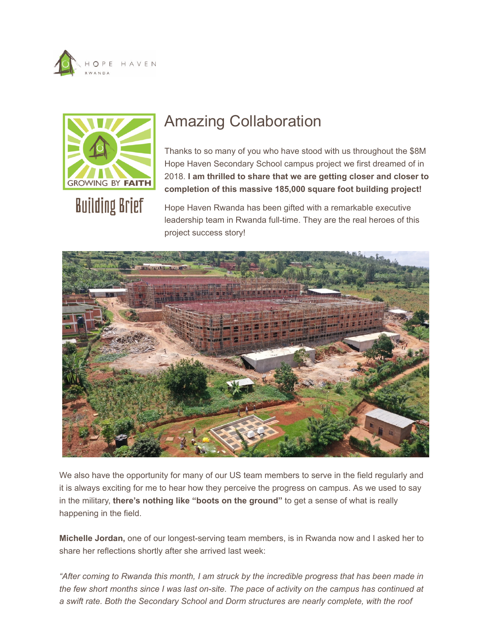<span id="page-0-0"></span>



## Amazing Collaboration

Thanks to so many of you who have stood with us throughout the \$8M Hope Haven Secondary School campus project we first dreamed of in 2018. **I am thrilled to share that we are getting closer and closer to completion of this massive 185,000 square foot building project!**

Hope Haven Rwanda has been gifted with a remarkable executive leadership team in Rwanda full-time. They are the real heroes of this project success story!



We also have the opportunity for many of our US team members to serve in the field regularly and it is always exciting for me to hear how they perceive the progress on campus. As we used to say in the military, **there's nothing like "boots on the ground"** to get a sense of what is really happening in the field.

**Michelle Jordan,** one of our longest-serving team members, is in Rwanda now and I asked her to share her reflections shortly after she arrived last week:

*"After coming to Rwanda this month, I am struck by the incredible progress that has been made in the few short months since I was last on-site. The pace of activity on the campus has continued at a swift rate. Both the Secondary School and Dorm structures are nearly complete, with the roof*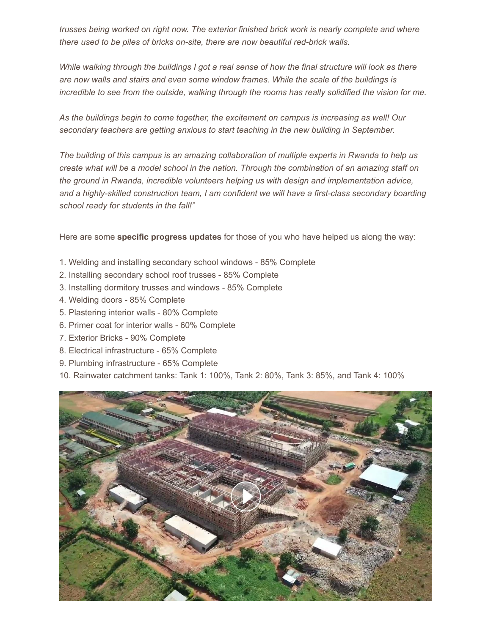*trusses being worked on right now. The exterior finished brick work is nearly complete and where there used to be piles of bricks on-site, there are now beautiful red-brick walls.* 

*While walking through the buildings I got a real sense of how the final structure will look as there are now walls and stairs and even some window frames. While the scale of the buildings is incredible to see from the outside, walking through the rooms has really solidified the vision for me.* 

*As the buildings begin to come together, the excitement on campus is increasing as well! Our secondary teachers are getting anxious to start teaching in the new building in September.* 

*The building of this campus is an amazing collaboration of multiple experts in Rwanda to help us create what will be a model school in the nation. Through the combination of an amazing staff on the ground in Rwanda, incredible volunteers helping us with design and implementation advice, and a highly-skilled construction team, I am confident we will have a first-class secondary boarding school ready for students in the fall!"*

Here are some **specific progress updates** for those of you who have helped us along the way:

- 1. Welding and installing secondary school windows 85% Complete
- 2. Installing secondary school roof trusses 85% Complete
- 3. Installing dormitory trusses and windows 85% Complete
- 4. Welding doors 85% Complete
- 5. Plastering interior walls 80% Complete
- 6. Primer coat for interior walls 60% Complete
- 7. Exterior Bricks 90% Complete
- 8. Electrical infrastructure 65% Complete
- 9. Plumbing infrastructure 65% Complete
- 10. Rainwater catchment tanks: Tank 1: 100%, Tank 2: 80%, Tank 3: 85%, and Tank 4: 100%